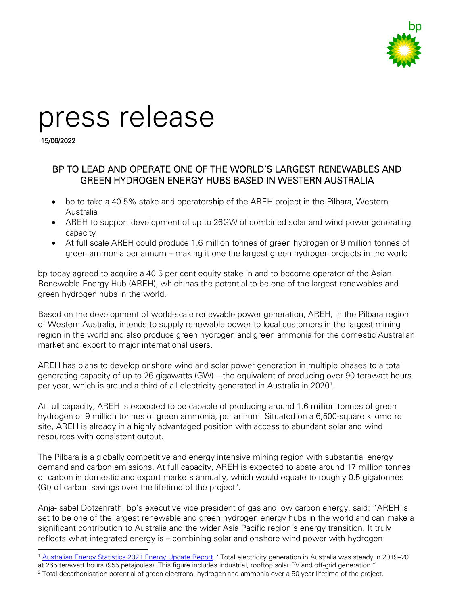

# press release

15/06/2022

# BP TO LEAD AND OPERATE ONE OF THE WORLD'S LARGEST RENEWABLES AND GREEN HYDROGEN ENERGY HUBS BASED IN WESTERN AUSTRALIA

- bp to take a 40.5% stake and operatorship of the AREH project in the Pilbara, Western Australia
- AREH to support development of up to 26GW of combined solar and wind power generating capacity
- At full scale AREH could produce 1.6 million tonnes of green hydrogen or 9 million tonnes of green ammonia per annum – making it one the largest green hydrogen projects in the world

bp today agreed to acquire a 40.5 per cent equity stake in and to become operator of the Asian Renewable Energy Hub (AREH), which has the potential to be one of the largest renewables and green hydrogen hubs in the world.

Based on the development of world-scale renewable power generation, AREH, in the Pilbara region of Western Australia, intends to supply renewable power to local customers in the largest mining region in the world and also produce green hydrogen and green ammonia for the domestic Australian market and export to major international users.

AREH has plans to develop onshore wind and solar power generation in multiple phases to a total generating capacity of up to 26 gigawatts (GW) – the equivalent of producing over 90 terawatt hours per year, which is around a third of all electricity generated in Australia in 2020<sup>[1](#page-0-0)</sup>.

At full capacity, AREH is expected to be capable of producing around 1.6 million tonnes of green hydrogen or 9 million tonnes of green ammonia, per annum. Situated on a 6,500-square kilometre site, AREH is already in a highly advantaged position with access to abundant solar and wind resources with consistent output.

The Pilbara is a globally competitive and energy intensive mining region with substantial energy demand and carbon emissions. At full capacity, AREH is expected to abate around 17 million tonnes of carbon in domestic and export markets annually, which would equate to roughly 0.5 gigatonnes (Gt) of carbon savings over the lifetime of the project<sup>[2](#page-0-1)</sup>.

Anja-Isabel Dotzenrath, bp's executive vice president of gas and low carbon energy, said: "AREH is set to be one of the largest renewable and green hydrogen energy hubs in the world and can make a significant contribution to Australia and the wider Asia Pacific region's energy transition. It truly reflects what integrated energy is – combining solar and onshore wind power with hydrogen

<span id="page-0-0"></span><sup>1</sup> [Australian Energy Statistics 2021 Energy Update Report.](https://www.energy.gov.au/sites/default/files/Australian%20Energy%20Statistics%202021%20Energy%20Update%20Report.pdf) "Total electricity generation in Australia was steady in 2019-20 at 265 terawatt hours (955 petajoules). This figure includes industrial, rooftop solar PV and off-grid generation."

<span id="page-0-1"></span><sup>2</sup> Total decarbonisation potential of green electrons, hydrogen and ammonia over a 50-year lifetime of the project.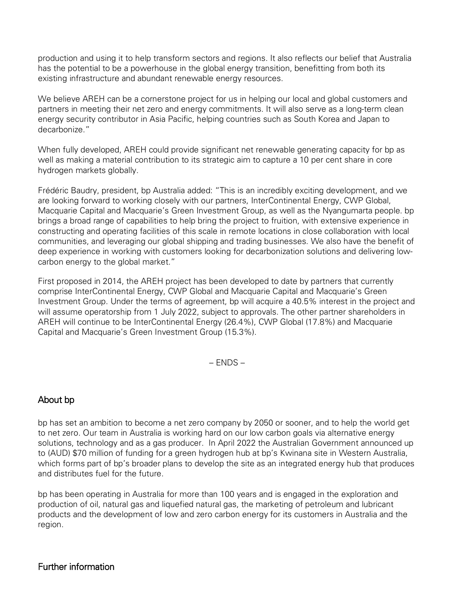production and using it to help transform sectors and regions. It also reflects our belief that Australia has the potential to be a powerhouse in the global energy transition, benefitting from both its existing infrastructure and abundant renewable energy resources.

We believe AREH can be a cornerstone project for us in helping our local and global customers and partners in meeting their net zero and energy commitments. It will also serve as a long-term clean energy security contributor in Asia Pacific, helping countries such as South Korea and Japan to decarbonize."

When fully developed, AREH could provide significant net renewable generating capacity for bp as well as making a material contribution to its strategic aim to capture a 10 per cent share in core hydrogen markets globally.

Frédéric Baudry, president, bp Australia added: "This is an incredibly exciting development, and we are looking forward to working closely with our partners, InterContinental Energy, CWP Global, Macquarie Capital and Macquarie's Green Investment Group, as well as the Nyangumarta people. bp brings a broad range of capabilities to help bring the project to fruition, with extensive experience in constructing and operating facilities of this scale in remote locations in close collaboration with local communities, and leveraging our global shipping and trading businesses. We also have the benefit of deep experience in working with customers looking for decarbonization solutions and delivering lowcarbon energy to the global market."

First proposed in 2014, the AREH project has been developed to date by partners that currently comprise InterContinental Energy, CWP Global and Macquarie Capital and Macquarie's Green Investment Group. Under the terms of agreement, bp will acquire a 40.5% interest in the project and will assume operatorship from 1 July 2022, subject to approvals. The other partner shareholders in AREH will continue to be InterContinental Energy (26.4%), CWP Global (17.8%) and Macquarie Capital and Macquarie's Green Investment Group (15.3%).

– ENDS –

## About bp

bp has set an ambition to become a net zero company by 2050 or sooner, and to help the world get to net zero. Our team in Australia is working hard on our low carbon goals via alternative energy solutions, technology and as a gas producer. In April 2022 the Australian Government announced up to (AUD) \$70 million of funding for a green hydrogen hub at bp's Kwinana site in Western Australia, which forms part of bp's broader plans to develop the site as an integrated energy hub that produces and distributes fuel for the future.

bp has been operating in Australia for more than 100 years and is engaged in the exploration and production of oil, natural gas and liquefied natural gas, the marketing of petroleum and lubricant products and the development of low and zero carbon energy for its customers in Australia and the region.